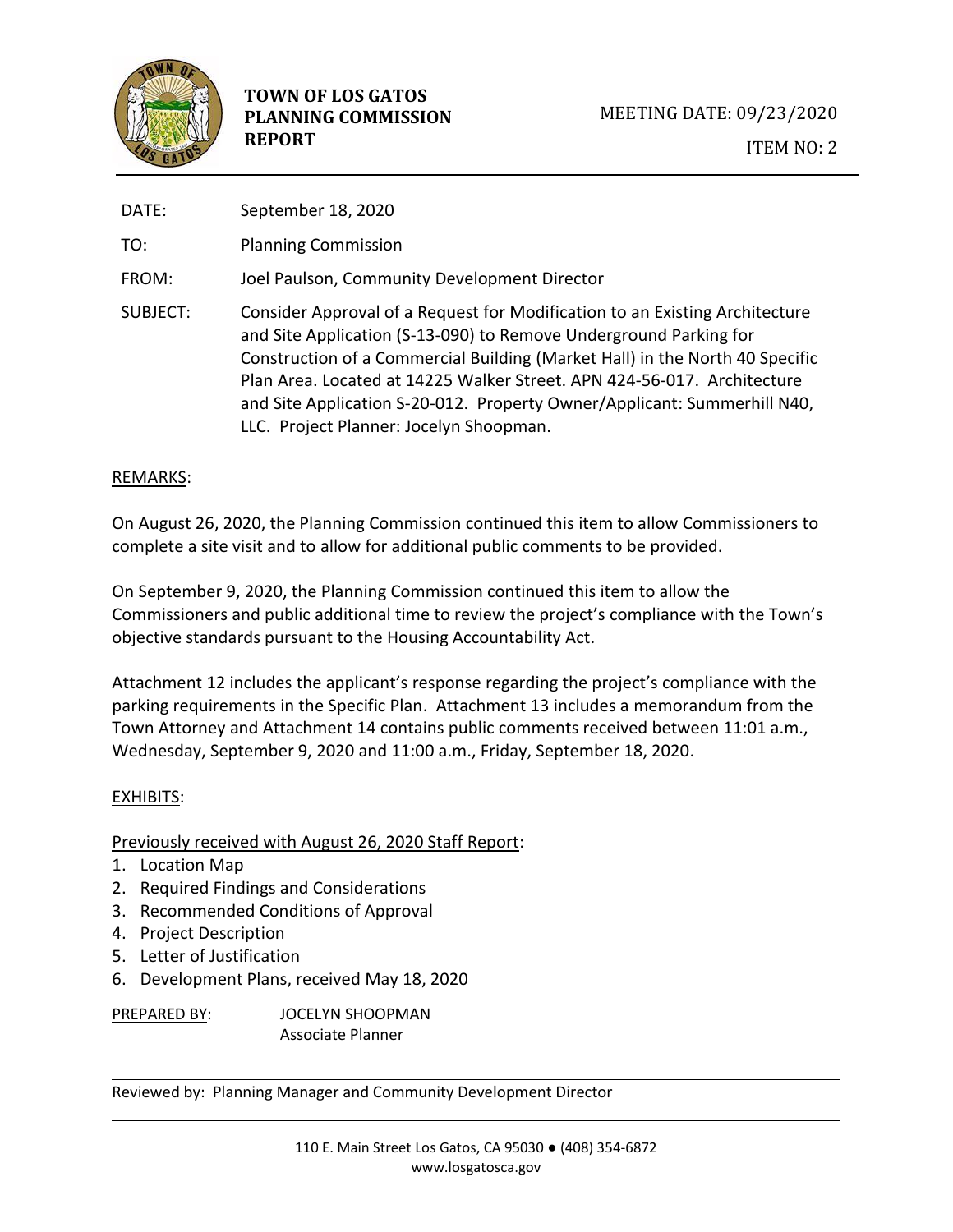

| DATE:    | September 18, 2020                                                                                                                                                                                                                                                                                                                                                                                                                 |
|----------|------------------------------------------------------------------------------------------------------------------------------------------------------------------------------------------------------------------------------------------------------------------------------------------------------------------------------------------------------------------------------------------------------------------------------------|
| TO:      | <b>Planning Commission</b>                                                                                                                                                                                                                                                                                                                                                                                                         |
| FROM:    | Joel Paulson, Community Development Director                                                                                                                                                                                                                                                                                                                                                                                       |
| SUBJECT: | Consider Approval of a Request for Modification to an Existing Architecture<br>and Site Application (S-13-090) to Remove Underground Parking for<br>Construction of a Commercial Building (Market Hall) in the North 40 Specific<br>Plan Area. Located at 14225 Walker Street. APN 424-56-017. Architecture<br>and Site Application S-20-012. Property Owner/Applicant: Summerhill N40,<br>LLC. Project Planner: Jocelyn Shoopman. |

## REMARKS:

On August 26, 2020, the Planning Commission continued this item to allow Commissioners to complete a site visit and to allow for additional public comments to be provided.

On September 9, 2020, the Planning Commission continued this item to allow the Commissioners and public additional time to review the project's compliance with the Town's objective standards pursuant to the Housing Accountability Act.

Attachment 12 includes the applicant's response regarding the project's compliance with the parking requirements in the Specific Plan. Attachment 13 includes a memorandum from the Town Attorney and Attachment 14 contains public comments received between 11:01 a.m., Wednesday, September 9, 2020 and 11:00 a.m., Friday, September 18, 2020.

#### EXHIBITS:

Previously received with August 26, 2020 Staff Report:

- 1. Location Map
- 2. Required Findings and Considerations
- 3. Recommended Conditions of Approval
- 4. Project Description
- 5. Letter of Justification
- 6. Development Plans, received May 18, 2020

PREPARED BY: JOCELYN SHOOPMAN Associate Planner

Reviewed by: Planning Manager and Community Development Director